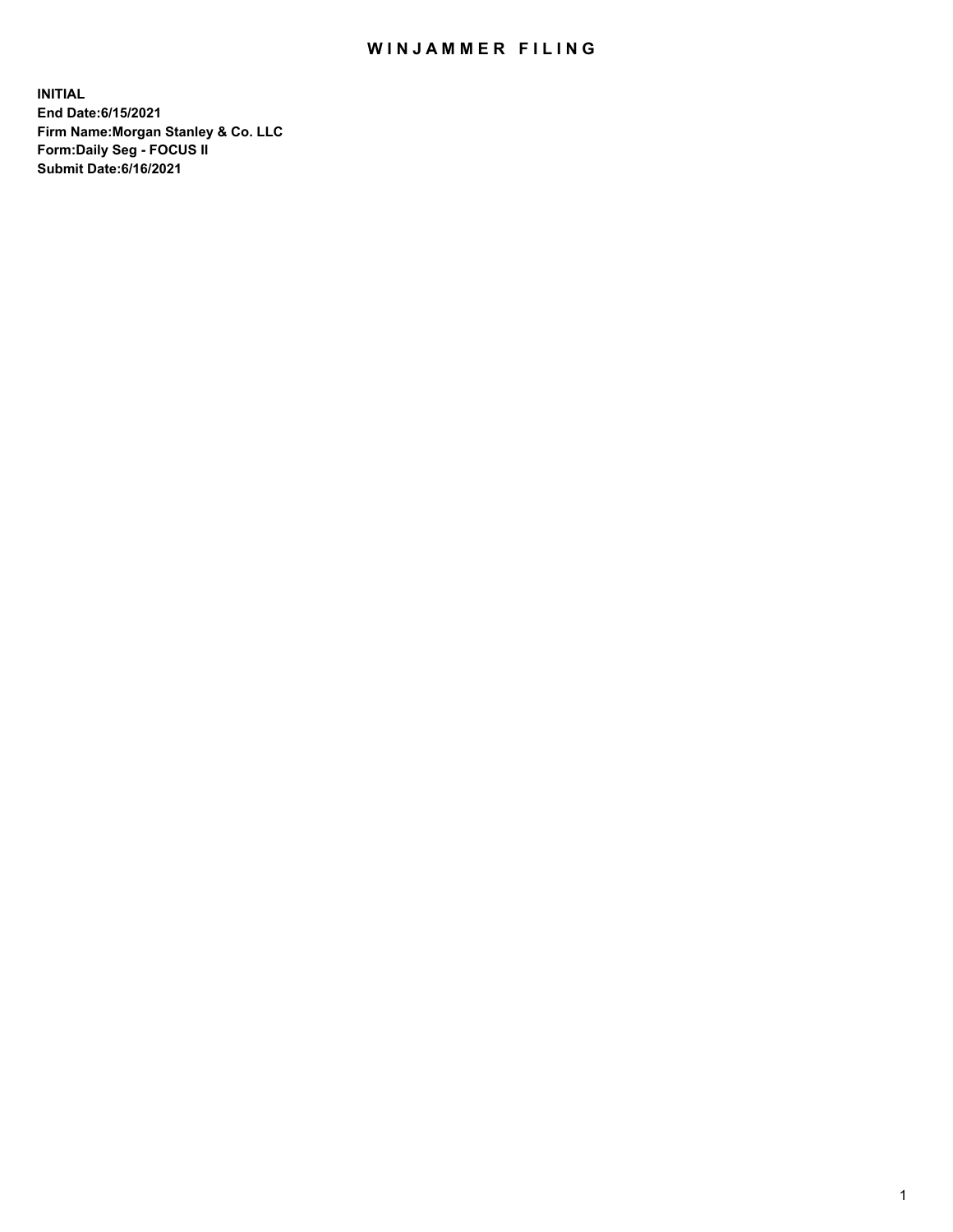## WIN JAMMER FILING

**INITIAL End Date:6/15/2021 Firm Name:Morgan Stanley & Co. LLC Form:Daily Seg - FOCUS II Submit Date:6/16/2021**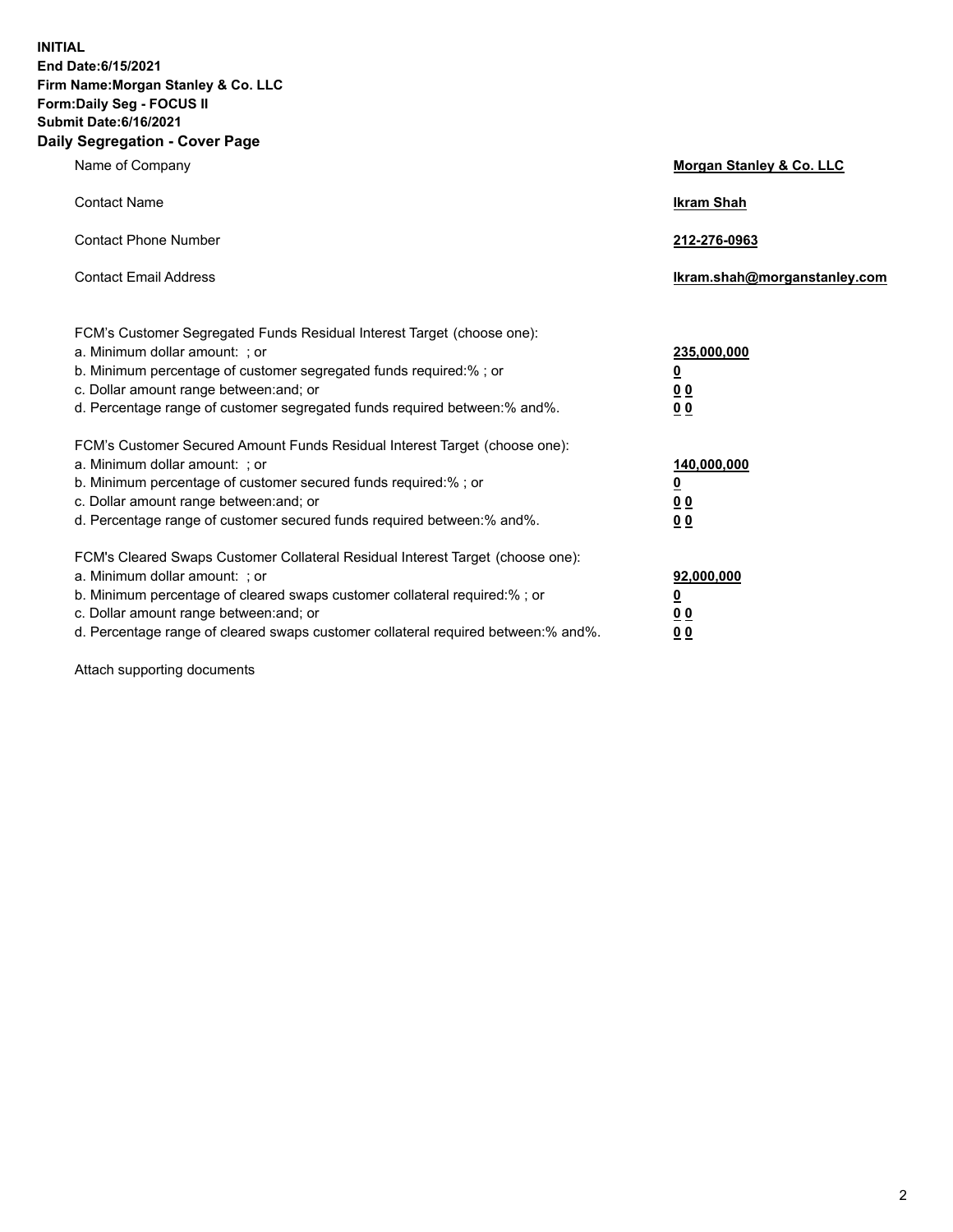**INITIAL End Date:6/15/2021 Firm Name:Morgan Stanley & Co. LLC Form:Daily Seg - FOCUS II Submit Date:6/16/2021 Daily Segregation - Cover Page**

| Name of Company                                                                                                                                                                                                                                                                                                               | Morgan Stanley & Co. LLC                               |
|-------------------------------------------------------------------------------------------------------------------------------------------------------------------------------------------------------------------------------------------------------------------------------------------------------------------------------|--------------------------------------------------------|
| <b>Contact Name</b>                                                                                                                                                                                                                                                                                                           | <b>Ikram Shah</b>                                      |
| <b>Contact Phone Number</b>                                                                                                                                                                                                                                                                                                   | 212-276-0963                                           |
| <b>Contact Email Address</b>                                                                                                                                                                                                                                                                                                  | Ikram.shah@morganstanley.com                           |
| FCM's Customer Segregated Funds Residual Interest Target (choose one):<br>a. Minimum dollar amount: ; or<br>b. Minimum percentage of customer segregated funds required:% ; or<br>c. Dollar amount range between: and; or<br>d. Percentage range of customer segregated funds required between:% and%.                        | 235,000,000<br><u>0</u><br><u>00</u><br>0 <sup>0</sup> |
| FCM's Customer Secured Amount Funds Residual Interest Target (choose one):<br>a. Minimum dollar amount: ; or<br>b. Minimum percentage of customer secured funds required:%; or<br>c. Dollar amount range between: and; or<br>d. Percentage range of customer secured funds required between:% and%.                           | 140,000,000<br><u>0</u><br><u>00</u><br>0 <sub>0</sub> |
| FCM's Cleared Swaps Customer Collateral Residual Interest Target (choose one):<br>a. Minimum dollar amount: ; or<br>b. Minimum percentage of cleared swaps customer collateral required:%; or<br>c. Dollar amount range between: and; or<br>d. Percentage range of cleared swaps customer collateral required between:% and%. | 92,000,000<br><u>0</u><br>0 Q<br>00                    |

Attach supporting documents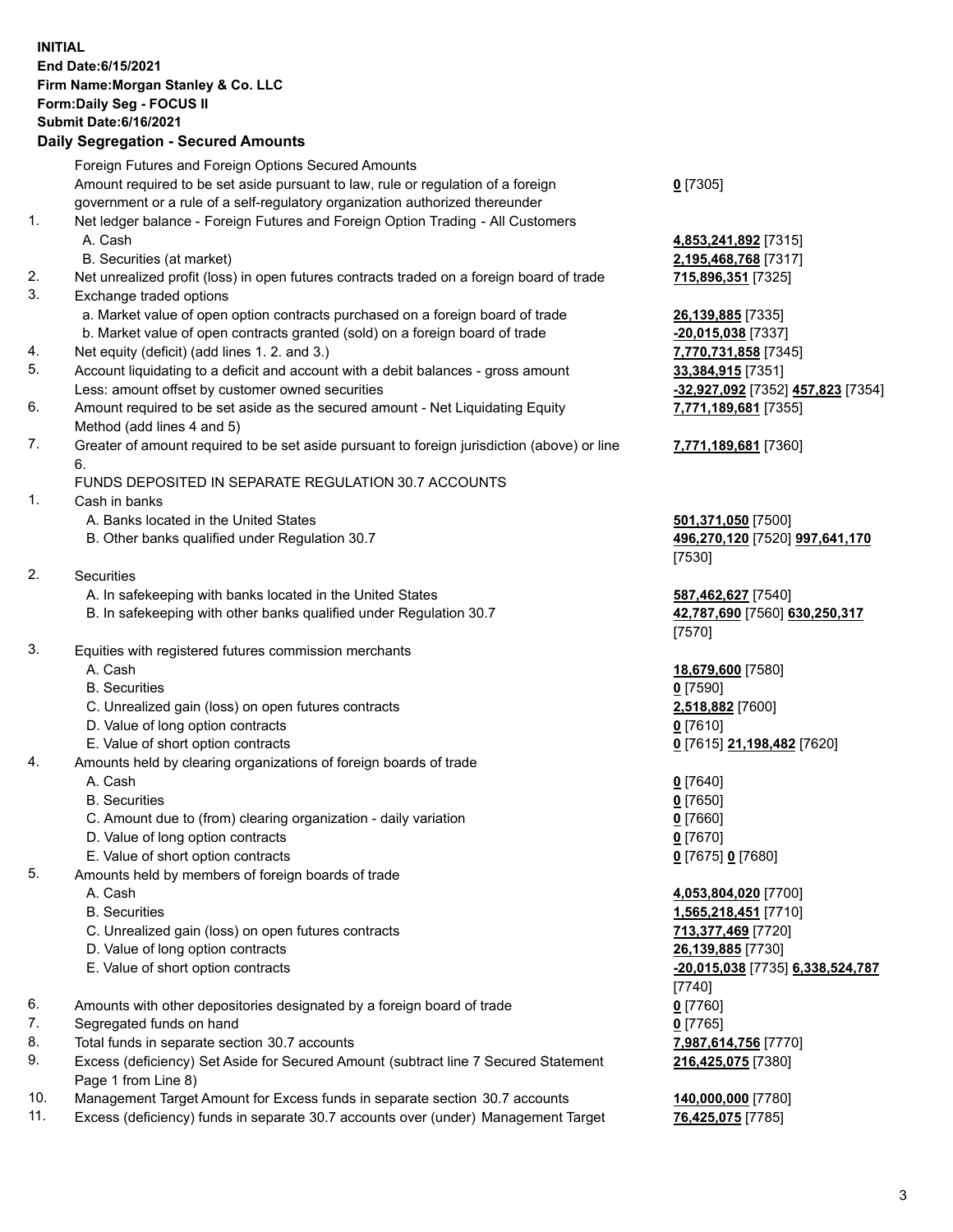## **INITIAL End Date:6/15/2021 Firm Name:Morgan Stanley & Co. LLC Form:Daily Seg - FOCUS II Submit Date:6/16/2021**

## **Daily Segregation - Secured Amounts**

|    | Foreign Futures and Foreign Options Secured Amounts<br>Amount required to be set aside pursuant to law, rule or regulation of a foreign | $0$ [7305]                              |
|----|-----------------------------------------------------------------------------------------------------------------------------------------|-----------------------------------------|
|    | government or a rule of a self-regulatory organization authorized thereunder                                                            |                                         |
| 1. | Net ledger balance - Foreign Futures and Foreign Option Trading - All Customers                                                         |                                         |
|    | A. Cash                                                                                                                                 | 4,853,241,892 [7315]                    |
|    | B. Securities (at market)                                                                                                               | 2,195,468,768 [7317]                    |
| 2. | Net unrealized profit (loss) in open futures contracts traded on a foreign board of trade                                               | 715,896,351 [7325]                      |
| 3. | Exchange traded options                                                                                                                 |                                         |
|    | a. Market value of open option contracts purchased on a foreign board of trade                                                          | 26,139,885 [7335]                       |
|    | b. Market value of open contracts granted (sold) on a foreign board of trade                                                            | -20,015,038 [7337]                      |
| 4. | Net equity (deficit) (add lines 1. 2. and 3.)                                                                                           | 7,770,731,858 [7345]                    |
| 5. | Account liquidating to a deficit and account with a debit balances - gross amount                                                       | 33,384,915 [7351]                       |
|    | Less: amount offset by customer owned securities                                                                                        | -32,927,092 [7352] 457,823 [735         |
| 6. | Amount required to be set aside as the secured amount - Net Liquidating Equity                                                          | 7,771,189,681 [7355]                    |
|    | Method (add lines 4 and 5)                                                                                                              |                                         |
| 7. | Greater of amount required to be set aside pursuant to foreign jurisdiction (above) or line<br>6.                                       | 7,771,189,681 [7360]                    |
|    | FUNDS DEPOSITED IN SEPARATE REGULATION 30.7 ACCOUNTS                                                                                    |                                         |
| 1. | Cash in banks                                                                                                                           |                                         |
|    | A. Banks located in the United States                                                                                                   | 501,371,050 [7500]                      |
|    | B. Other banks qualified under Regulation 30.7                                                                                          | 496,270,120 [7520] 997,641,170          |
|    |                                                                                                                                         | [7530]                                  |
| 2. | <b>Securities</b>                                                                                                                       |                                         |
|    | A. In safekeeping with banks located in the United States                                                                               | 587,462,627 [7540]                      |
|    | B. In safekeeping with other banks qualified under Regulation 30.7                                                                      | 42,787,690 [7560] 630,250,317<br>[7570] |
| 3. | Equities with registered futures commission merchants                                                                                   |                                         |
|    | A. Cash                                                                                                                                 | 18,679,600 [7580]                       |
|    | <b>B.</b> Securities                                                                                                                    | $0$ [7590]                              |
|    | C. Unrealized gain (loss) on open futures contracts                                                                                     | 2,518,882 [7600]                        |
|    | D. Value of long option contracts                                                                                                       | $0$ [7610]                              |
|    | E. Value of short option contracts                                                                                                      | 0 [7615] 21,198,482 [7620]              |
| 4. | Amounts held by clearing organizations of foreign boards of trade                                                                       |                                         |
|    | A. Cash                                                                                                                                 | $0$ [7640]                              |
|    | <b>B.</b> Securities                                                                                                                    | $0$ [7650]                              |
|    | C. Amount due to (from) clearing organization - daily variation                                                                         | $0$ [7660]                              |
|    | D. Value of long option contracts                                                                                                       | $0$ [7670]                              |
|    | E. Value of short option contracts                                                                                                      | 0 [7675] 0 [7680]                       |
| 5. | Amounts held by members of foreign boards of trade                                                                                      |                                         |
|    | A. Cash                                                                                                                                 | 4,053,804,020 [7700]                    |
|    | <b>B.</b> Securities                                                                                                                    | 1,565,218,451 [7710]                    |
|    | C. Unrealized gain (loss) on open futures contracts                                                                                     | 713,377,469 [7720]                      |
|    | D. Value of long option contracts                                                                                                       | 26,139,885 [7730]                       |
|    | E. Value of short option contracts                                                                                                      | -20,015,038 [7735] 6,338,524,78         |
|    |                                                                                                                                         | [7740]                                  |
| 6. | Amounts with other depositories designated by a foreign board of trade                                                                  | $0$ [7760]                              |
| 7. | Segregated funds on hand                                                                                                                | $0$ [7765]                              |
| 8. | Total funds in separate section 30.7 accounts                                                                                           | 7,987,614,756 [7770]                    |
| 9. | Excess (deficiency) Set Aside for Secured Amount (subtract line 7 Secured Statement<br>Page 1 from Line 8)                              | 216,425,075 [7380]                      |

- 10. Management Target Amount for Excess funds in separate section 30.7 accounts **140,000,000** [7780]
- 11. Excess (deficiency) funds in separate 30.7 accounts over (under) Management Target **76,425,075** [7785]

E. Value of short option contracts **-20,015,038** [7735] **6,338,524,787**

Less: amount offset by customer owned securities **-32,927,092** [7352] **457,823** [7354]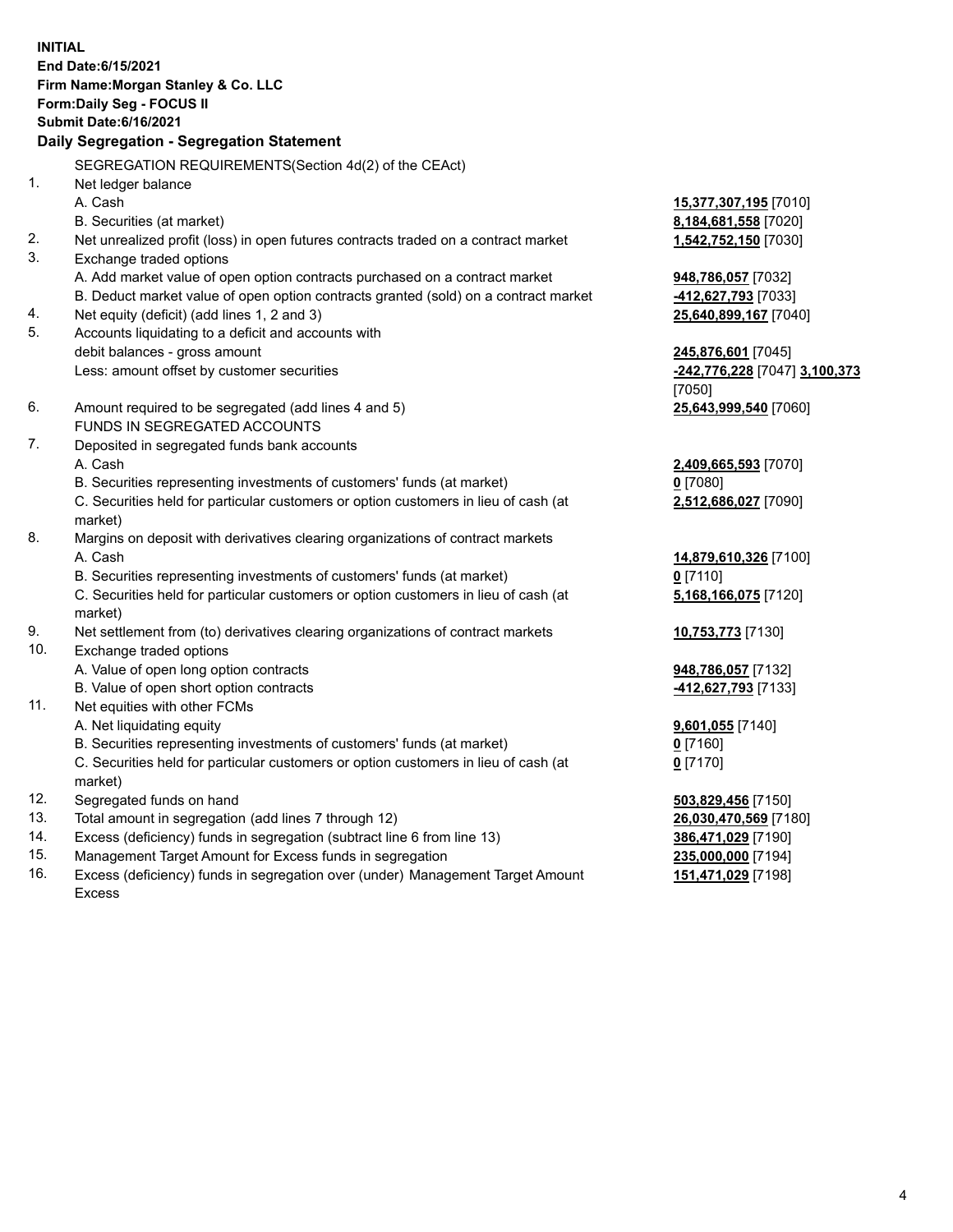**INITIAL End Date:6/15/2021 Firm Name:Morgan Stanley & Co. LLC Form:Daily Seg - FOCUS II Submit Date:6/16/2021 Daily Segregation - Segregation Statement** SEGREGATION REQUIREMENTS(Section 4d(2) of the CEAct) 1. Net ledger balance A. Cash **15,377,307,195** [7010] B. Securities (at market) **8,184,681,558** [7020] 2. Net unrealized profit (loss) in open futures contracts traded on a contract market **1,542,752,150** [7030] 3. Exchange traded options A. Add market value of open option contracts purchased on a contract market **948,786,057** [7032] B. Deduct market value of open option contracts granted (sold) on a contract market **-412,627,793** [7033] 4. Net equity (deficit) (add lines 1, 2 and 3) **25,640,899,167** [7040] 5. Accounts liquidating to a deficit and accounts with debit balances - gross amount **245,876,601** [7045] Less: amount offset by customer securities **-242,776,228** [7047] **3,100,373** [7050] 6. Amount required to be segregated (add lines 4 and 5) **25,643,999,540** [7060] FUNDS IN SEGREGATED ACCOUNTS 7. Deposited in segregated funds bank accounts A. Cash **2,409,665,593** [7070] B. Securities representing investments of customers' funds (at market) **0** [7080] C. Securities held for particular customers or option customers in lieu of cash (at market) **2,512,686,027** [7090] 8. Margins on deposit with derivatives clearing organizations of contract markets A. Cash **14,879,610,326** [7100] B. Securities representing investments of customers' funds (at market) **0** [7110] C. Securities held for particular customers or option customers in lieu of cash (at market) **5,168,166,075** [7120] 9. Net settlement from (to) derivatives clearing organizations of contract markets **10,753,773** [7130] 10. Exchange traded options A. Value of open long option contracts **948,786,057** [7132] B. Value of open short option contracts **-412,627,793** [7133] 11. Net equities with other FCMs A. Net liquidating equity **9,601,055** [7140] B. Securities representing investments of customers' funds (at market) **0** [7160] C. Securities held for particular customers or option customers in lieu of cash (at market) **0** [7170] 12. Segregated funds on hand **503,829,456** [7150] 13. Total amount in segregation (add lines 7 through 12) **26,030,470,569** [7180] 14. Excess (deficiency) funds in segregation (subtract line 6 from line 13) **386,471,029** [7190] 15. Management Target Amount for Excess funds in segregation **235,000,000** [7194]

16. Excess (deficiency) funds in segregation over (under) Management Target Amount Excess

**151,471,029** [7198]